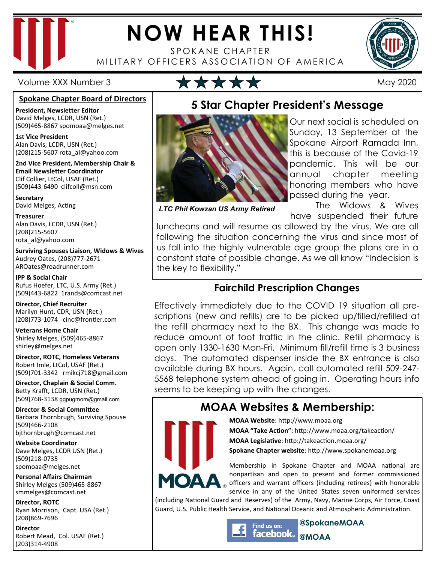

# **NOW HEAR THIS!**

SPOKANE CHAPTER MILITARY OFFICERS ASSOCIATION OF AMERICA



### Volume XXX Number 3 May 2020

#### **Spokane Chapter Board of Directors**

**President, Newsletter Editor**  David Melges, LCDR, USN (Ret.) (509)465-8867 spomoaa@melges.net

**1st Vice President**  Alan Davis, LCDR, USN (Ret.) (208)215-5607 rota\_al@yahoo.com

**2nd Vice President, Membership Chair & Email Newsletter Coordinator** Clif Collier, LtCol, USAF (Ret.) (509)443-6490 clifcoll@msn.com

**Secretary**  David Melges, Acting

**Treasurer**  Alan Davis, LCDR, USN (Ret.) (208)215-5607 rota\_al@yahoo.com

**Surviving Spouses Liaison, Widows & Wives**  Audrey Oates, (208)777-2671 AROates@roadrunner.com

**IPP & Social Chair**  Rufus Hoefer, LTC, U.S. Army (Ret.) (509)443-6822 1rands@comcast.net

**Director, Chief Recruiter**  Marilyn Hunt, CDR, USN (Ret.) (208)773-1074 cinc@frontier.com

**Veterans Home Chair**  Shirley Melges, (509)465-8867 shirley@melges.net

**Director, ROTC, Homeless Veterans**  Robert Imle, LtCol, USAF (Ret.) (509)701-3342 rmikcj718@gmail.com

**Director, Chaplain & Social Comm.** Betty Krafft, LCDR, USN (Ret.) (509)768-3138 ggpugmom@gmail.com

**Director & Social Committee** Barbara Thornbrugh, Surviving Spouse (509)466-2108 bjthornbrugh@comcast.net

**Website Coordinator**  Dave Melges, LCDR USN (Ret.) (509)218-0735 spomoaa@melges.net

**Personal Affairs Chairman**  Shirley Melges (509)465-8867 smmelges@comcast.net

**Director, ROTC**  Ryan Morrison, Capt. USA (Ret.) (208)869-7696

**Director**  Robert Mead, Col. USAF (Ret.) (203)314-4908

Our next social is scheduled on Sunday, 13 September at the Spokane Airport Ramada Inn, this is because of the Covid-19 pandemic. This will be our annual chapter meeting honoring members who have passed during the year.

*LTC Phil Kowzan US Army Retired* 

 The Widows & Wives have suspended their future

luncheons and will resume as allowed by the virus. We are all following the situation concerning the virus and since most of us fall into the highly vulnerable age group the plans are in a constant state of possible change. As we all know "Indecision is the key to flexibility."

**5 Star Chapter President's Message** 

## **Fairchild Prescription Changes**

Effectively immediately due to the COVID 19 situation all prescriptions (new and refills) are to be picked up/filled/refilled at the refill pharmacy next to the BX. This change was made to reduce amount of foot traffic in the clinic. Refill pharmacy is open only 1330-1630 Mon-Fri. Minimum fill/refill time is 3 business days. The automated dispenser inside the BX entrance is also available during BX hours. Again, call automated refill 509-247- 5568 telephone system ahead of going in. Operating hours info seems to be keeping up with the changes.

# **MOAA Websites & Membership:**



**MOAA Website: http://www.moaa.org MOAA "Take Action"**: http://www.moaa.org/takeaction/ **MOAA Legislative**: http://takeaction.moaa.org/ **Spokane Chapter website**: http://www.spokanemoaa.org

Membership in Spokane Chapter and MOAA national are nonpartisan and open to present and former commissioned officers and warrant officers (including retirees) with honorable service in any of the United States seven uniformed services

(including National Guard and Reserves) of the Army, Navy, Marine Corps, Air Force, Coast Guard, U.S. Public Health Service, and National Oceanic and Atmospheric Administration.

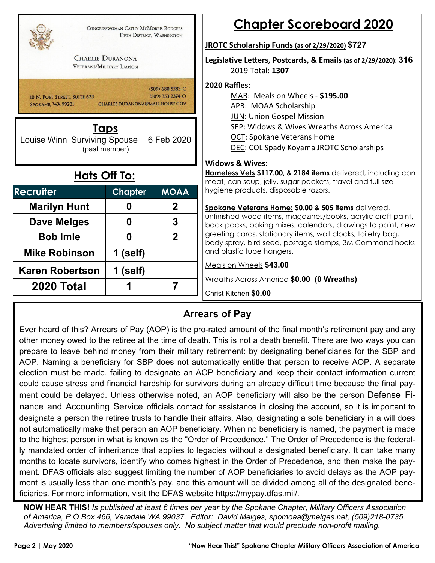| CONGRESSWOMAN CATHY MCMORRIS RODGERS<br>FIFTH DISTRICT, WASHINGTON                                                                                                                                      |                |                | <b>Chapter Scoreboard 2020</b>                                                                                                                                                                                                               |  |  |  |  |  |  |
|---------------------------------------------------------------------------------------------------------------------------------------------------------------------------------------------------------|----------------|----------------|----------------------------------------------------------------------------------------------------------------------------------------------------------------------------------------------------------------------------------------------|--|--|--|--|--|--|
|                                                                                                                                                                                                         |                |                | JROTC Scholarship Funds (as of 2/29/2020) \$727                                                                                                                                                                                              |  |  |  |  |  |  |
| <b>CHARLIE DURAÑONA</b><br><b>VETERANS/MILITARY LIAISON</b>                                                                                                                                             |                |                | Legislative Letters, Postcards, & Emails (as of 2/29/2020): 316<br>2019 Total: 1307                                                                                                                                                          |  |  |  |  |  |  |
| $(509)$ 680-5583-C<br>$(509)$ 353-2374-O<br>10 N. POST STREET. SUITE 625<br>CHARLES.DURANONA@MAIL.HOUSE.GOV<br>SPOKANE, WA 99201<br>Taps<br>Louise Winn Surviving Spouse<br>6 Feb 2020<br>(past member) |                |                | 2020 Raffles:<br>MAR: Meals on Wheels - \$195.00<br>APR: MOAA Scholarship<br><b>JUN: Union Gospel Mission</b><br>SEP: Widows & Wives Wreaths Across America<br><b>OCT: Spokane Veterans Home</b><br>DEC: COL Spady Koyama JROTC Scholarships |  |  |  |  |  |  |
|                                                                                                                                                                                                         |                |                | <b>Widows &amp; Wives:</b>                                                                                                                                                                                                                   |  |  |  |  |  |  |
| <b>Hats Off To:</b>                                                                                                                                                                                     |                |                | Homeless Vets \$117.00, & 2184 items delivered, including can<br>meat, can soup, jelly, sugar packets, travel and full size                                                                                                                  |  |  |  |  |  |  |
| <b>Recruiter</b>                                                                                                                                                                                        | <b>Chapter</b> | <b>MOAA</b>    | hygiene products, disposable razors.                                                                                                                                                                                                         |  |  |  |  |  |  |
| <b>Marilyn Hunt</b>                                                                                                                                                                                     | 0              | $\mathbf{2}$   | Spokane Veterans Home: \$0.00 & 505 items delivered,                                                                                                                                                                                         |  |  |  |  |  |  |
| Dave Melges                                                                                                                                                                                             | $\bf{0}$       | 3              | unfinished wood items, magazines/books, acrylic craft paint,<br>back packs, baking mixes, calendars, drawings to paint, new                                                                                                                  |  |  |  |  |  |  |
| <b>Bob Imle</b>                                                                                                                                                                                         | $\bf{0}$       | $\overline{2}$ | greeting cards, stationary items, wall clocks, toiletry bag,<br>body spray, bird seed, postage stamps, 3M Command hooks                                                                                                                      |  |  |  |  |  |  |
| <b>Mike Robinson</b>                                                                                                                                                                                    | 1 (self)       |                | and plastic tube hangers.                                                                                                                                                                                                                    |  |  |  |  |  |  |
| <b>Karen Robertson</b>                                                                                                                                                                                  | 1 (self)       |                | Meals on Wheels \$43.00                                                                                                                                                                                                                      |  |  |  |  |  |  |
| <b>2020 Total</b>                                                                                                                                                                                       | 1              | 7              | Wreaths Across America \$0.00 (0 Wreaths)<br>Christ Kitchen \$0.00                                                                                                                                                                           |  |  |  |  |  |  |

### **Arrears of Pay**

Ever heard of this? Arrears of Pay (AOP) is the pro-rated amount of the final month's retirement pay and any other money owed to the retiree at the time of death. This is not a death benefit. There are two ways you can prepare to leave behind money from their military retirement: by designating beneficiaries for the SBP and AOP. Naming a beneficiary for SBP does not automatically entitle that person to receive AOP. A separate election must be made. failing to designate an AOP beneficiary and keep their contact information current could cause stress and financial hardship for survivors during an already difficult time because the final payment could be delayed. Unless otherwise noted, an AOP beneficiary will also be the person Defense Finance and Accounting Service officials contact for assistance in closing the account, so it is important to designate a person the retiree trusts to handle their affairs. Also, designating a sole beneficiary in a will does not automatically make that person an AOP beneficiary. When no beneficiary is named, the payment is made to the highest person in what is known as the "Order of Precedence." The Order of Precedence is the federally mandated order of inheritance that applies to legacies without a designated beneficiary. It can take many months to locate survivors, identify who comes highest in the Order of Precedence, and then make the payment. DFAS officials also suggest limiting the number of AOP beneficiaries to avoid delays as the AOP payment is usually less than one month's pay, and this amount will be divided among all of the designated beneficiaries. For more information, visit the DFAS website https://mypay.dfas.mil/.

**NOW HEAR THIS!** *Is published at least 6 times per year by the Spokane Chapter, Military Officers Association of America, P O Box 466, Veradale WA 99037. Editor: David Melges, spomoaa@melges.net, (509)218-0735. Advertising limited to members/spouses only. No subject matter that would preclude non-profit mailing.*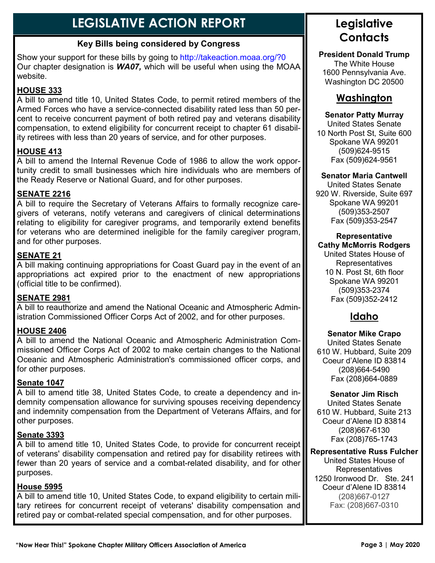# **LEGISLATIVE ACTION REPORT**

### **Key Bills being considered by Congress**

Show your support for these bills by going to http://takeaction.moaa.org/?0 Our chapter designation is *WA07,* which will be useful when using the MOAA website.

### **HOUSE 333**

A bill to amend title 10, United States Code, to permit retired members of the Armed Forces who have a service-connected disability rated less than 50 percent to receive concurrent payment of both retired pay and veterans disability compensation, to extend eligibility for concurrent receipt to chapter 61 disability retirees with less than 20 years of service, and for other purposes.

#### **HOUSE 413**

A bill to amend the Internal Revenue Code of 1986 to allow the work opportunity credit to small businesses which hire individuals who are members of the Ready Reserve or National Guard, and for other purposes.

#### **SENATE 2216**

A bill to require the Secretary of Veterans Affairs to formally recognize caregivers of veterans, notify veterans and caregivers of clinical determinations relating to eligibility for caregiver programs, and temporarily extend benefits for veterans who are determined ineligible for the family caregiver program, and for other purposes.

#### **SENATE 21**

A bill making continuing appropriations for Coast Guard pay in the event of an appropriations act expired prior to the enactment of new appropriations (official title to be confirmed).

#### **SENATE 2981**

A bill to reauthorize and amend the National Oceanic and Atmospheric Administration Commissioned Officer Corps Act of 2002, and for other purposes.

#### **HOUSE 2406**

A bill to amend the National Oceanic and Atmospheric Administration Commissioned Officer Corps Act of 2002 to make certain changes to the National Oceanic and Atmospheric Administration's commissioned officer corps, and for other purposes.

#### **Senate 1047**

A bill to amend title 38, United States Code, to create a dependency and indemnity compensation allowance for surviving spouses receiving dependency and indemnity compensation from the Department of Veterans Affairs, and for other purposes.

#### **Senate 3393**

A bill to amend title 10, United States Code, to provide for concurrent receipt of veterans' disability compensation and retired pay for disability retirees with fewer than 20 years of service and a combat-related disability, and for other purposes.

#### **House 5995**

A bill to amend title 10, United States Code, to expand eligibility to certain military retirees for concurrent receipt of veterans' disability compensation and retired pay or combat-related special compensation, and for other purposes.

# **Legislative Contacts**

**President Donald Trump**  The White House 1600 Pennsylvania Ave. Washington DC 20500

## **Washington**

#### **Senator Patty Murray**

United States Senate 10 North Post St, Suite 600 Spokane WA 99201 (509)624-9515 Fax (509)624-9561

#### **Senator Maria Cantwell**

United States Senate 920 W. Riverside, Suite 697 Spokane WA 99201 (509)353-2507 Fax (509)353-2547

#### **Representative Cathy McMorris Rodgers**

United States House of Representatives 10 N. Post St, 6th floor Spokane WA 99201 (509)353-2374 Fax (509)352-2412

# **Idaho**

**Senator Mike Crapo** United States Senate 610 W. Hubbard, Suite 209 Coeur d'Alene ID 83814 (208)664-5490 Fax (208)664-0889

#### **Senator Jim Risch**

United States Senate 610 W. Hubbard, Suite 213 Coeur d'Alene ID 83814 (208)667-6130 Fax (208)765-1743

#### **Representative Russ Fulcher**

United States House of **Representatives** 1250 Ironwood Dr. Ste. 241 Coeur d'Alene ID 83814 (208)667-0127 Fax: (208)667-0310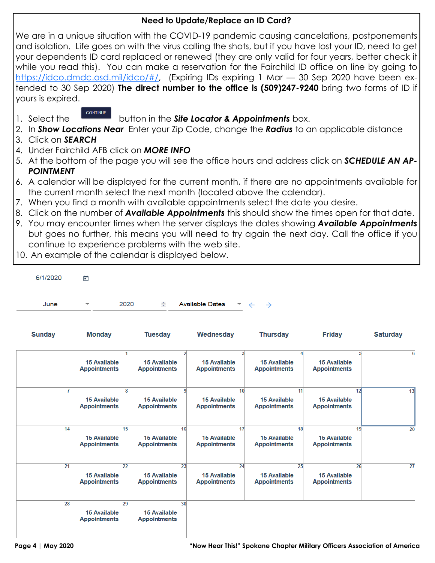#### **Need to Update/Replace an ID Card?**

We are in a unique situation with the COVID-19 pandemic causing cancelations, postponements and isolation. Life goes on with the virus calling the shots, but if you have lost your ID, need to get your dependents ID card replaced or renewed (they are only valid for four years, better check it while you read this). You can make a reservation for the Fairchild ID office on line by going to https://idco.dmdc.osd.mil/idco/#/, (Expiring IDs expiring 1 Mar – 30 Sep 2020 have been extended to 30 Sep 2020) **The direct number to the office is (509)247-9240** bring two forms of ID if yours is expired.

- 
- **CONTINUE**
- 1. Select the button in the *Site Locator & Appointments* box.
- 2. In *Show Locations Near* Enter your Zip Code, change the *Radius* to an applicable distance
- 3. Click on *SEARCH*
- 4. Under Fairchild AFB click on *MORE INFO*
- 5. At the bottom of the page you will see the office hours and address click on *SCHEDULE AN AP-POINTMENT*
- 6. A calendar will be displayed for the current month, if there are no appointments available for the current month select the next month (located above the calendar).
- 7. When you find a month with available appointments select the date you desire.
- 8. Click on the number of *Available Appointments* this should show the times open for that date.
- 9. You may encounter times when the server displays the dates showing *Available Appointments* but goes no further, this means you will need to try again the next day. Call the office if you continue to experience problems with the web site.
- 10. An example of the calendar is displayed below.

| 6/1/2020 | ö                       |      |   |                        |                                          |  |  |  |  |  |
|----------|-------------------------|------|---|------------------------|------------------------------------------|--|--|--|--|--|
| June     | $\overline{\mathbf{v}}$ | 2020 | ÷ | <b>Available Dates</b> | $\rightarrow$ $\leftarrow$ $\rightarrow$ |  |  |  |  |  |

| <b>Sunday</b> | <b>Monday</b>                                    | <b>Tuesday</b>                                         | Wednesday                                        | <b>Thursday</b>                                  | <b>Friday</b>                              | <b>Saturday</b> |
|---------------|--------------------------------------------------|--------------------------------------------------------|--------------------------------------------------|--------------------------------------------------|--------------------------------------------|-----------------|
|               | <b>15 Available</b><br><b>Appointments</b>       | <b>15 Available</b><br><b>Appointments</b>             | <b>15 Available</b><br><b>Appointments</b>       | <b>15 Available</b><br><b>Appointments</b>       | <b>15 Available</b><br><b>Appointments</b> | 5<br>6          |
|               | 8<br><b>15 Available</b><br><b>Appointments</b>  | <b>15 Available</b><br><b>Appointments</b>             | 10<br><b>15 Available</b><br><b>Appointments</b> | 11<br><b>15 Available</b><br><b>Appointments</b> | <b>15 Available</b><br><b>Appointments</b> | 12<br>13        |
| 14            | 15<br><b>15 Available</b><br><b>Appointments</b> | 16<br><b>15 Available</b><br><b>Appointments</b>       | 17<br><b>15 Available</b><br><b>Appointments</b> | 18<br><b>15 Available</b><br><b>Appointments</b> | <b>15 Available</b><br><b>Appointments</b> | 19<br>20        |
| 21            | 22<br><b>15 Available</b><br><b>Appointments</b> | 23<br><b>15 Available</b><br><b>Appointments</b>       | 24<br><b>15 Available</b><br><b>Appointments</b> | 25<br><b>15 Available</b><br><b>Appointments</b> | <b>15 Available</b><br><b>Appointments</b> | 27<br>26        |
| 28            | 29<br><b>15 Available</b><br><b>Appointments</b> | 30 <sup>1</sup><br>15 Available<br><b>Appointments</b> |                                                  |                                                  |                                            |                 |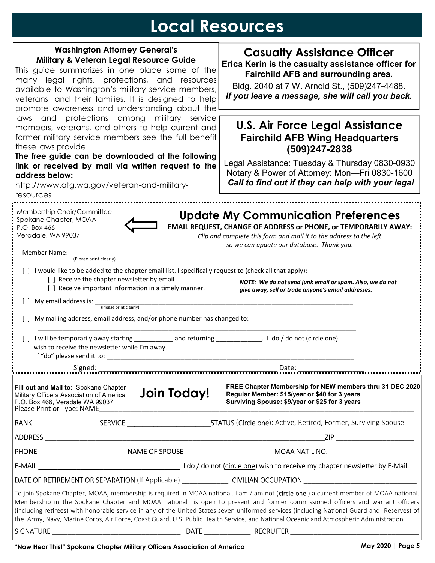# **Local Resources**

| <b>Washington Attorney General's</b><br><b>Military &amp; Veteran Legal Resource Guide</b><br>This guide summarizes in one place some of the<br>many legal rights, protections, and resources<br>available to Washington's military service members,<br>veterans, and their families. It is designed to help<br>promote awareness and understanding about the<br>laws and protections among military service<br>members, veterans, and others to help current and<br>former military service members see the full benefit<br>these laws provide.<br>The free guide can be downloaded at the following<br>link or received by mail via written request to the<br>address below:<br>http://www.atg.wa.gov/veteran-and-military- |                    | <b>Casualty Assistance Officer</b><br>Erica Kerin is the casualty assistance officer for<br>Fairchild AFB and surrounding area.<br>Bldg. 2040 at 7 W. Arnold St., (509)247-4488.<br>If you leave a message, she will call you back.<br><b>U.S. Air Force Legal Assistance</b><br><b>Fairchild AFB Wing Headquarters</b><br>$(509)247 - 2838$<br>Legal Assistance: Tuesday & Thursday 0830-0930<br>Notary & Power of Attorney: Mon-Fri 0830-1600<br>Call to find out if they can help with your legal                                                           |  |  |  |  |  |
|-------------------------------------------------------------------------------------------------------------------------------------------------------------------------------------------------------------------------------------------------------------------------------------------------------------------------------------------------------------------------------------------------------------------------------------------------------------------------------------------------------------------------------------------------------------------------------------------------------------------------------------------------------------------------------------------------------------------------------|--------------------|----------------------------------------------------------------------------------------------------------------------------------------------------------------------------------------------------------------------------------------------------------------------------------------------------------------------------------------------------------------------------------------------------------------------------------------------------------------------------------------------------------------------------------------------------------------|--|--|--|--|--|
| resources                                                                                                                                                                                                                                                                                                                                                                                                                                                                                                                                                                                                                                                                                                                     |                    |                                                                                                                                                                                                                                                                                                                                                                                                                                                                                                                                                                |  |  |  |  |  |
| Membership Chair/Committee<br>Spokane Chapter, MOAA<br>P.O. Box 466<br>Veradale, WA 99037<br>Member Name: _                                                                                                                                                                                                                                                                                                                                                                                                                                                                                                                                                                                                                   |                    | <b>Update My Communication Preferences</b><br>EMAIL REQUEST, CHANGE OF ADDRESS or PHONE, or TEMPORARILY AWAY:<br>Clip and complete this form and mail it to the address to the left<br>so we can update our database. Thank you.                                                                                                                                                                                                                                                                                                                               |  |  |  |  |  |
| (Please print clearly)<br>[ ] I would like to be added to the chapter email list. I specifically request to (check all that apply):<br>[] Receive the chapter newsletter by email<br>[ ] Receive important information in a timely manner.                                                                                                                                                                                                                                                                                                                                                                                                                                                                                    |                    | NOTE: We do not send junk email or spam. Also, we do not<br>give away, sell or trade anyone's email addresses.                                                                                                                                                                                                                                                                                                                                                                                                                                                 |  |  |  |  |  |
| [ ] My email address is: $\frac{p_{\text{lease print clearly}}}{p_{\text{lease print clearly}}}\$                                                                                                                                                                                                                                                                                                                                                                                                                                                                                                                                                                                                                             |                    |                                                                                                                                                                                                                                                                                                                                                                                                                                                                                                                                                                |  |  |  |  |  |
| My mailing address, email address, and/or phone number has changed to:                                                                                                                                                                                                                                                                                                                                                                                                                                                                                                                                                                                                                                                        |                    |                                                                                                                                                                                                                                                                                                                                                                                                                                                                                                                                                                |  |  |  |  |  |
| wish to receive the newsletter while I'm away.<br>If "do" please send it to:                                                                                                                                                                                                                                                                                                                                                                                                                                                                                                                                                                                                                                                  |                    | [] I will be temporarily away starting ________________ and returning ________________. I do / do not (circle one)                                                                                                                                                                                                                                                                                                                                                                                                                                             |  |  |  |  |  |
|                                                                                                                                                                                                                                                                                                                                                                                                                                                                                                                                                                                                                                                                                                                               |                    |                                                                                                                                                                                                                                                                                                                                                                                                                                                                                                                                                                |  |  |  |  |  |
| Fill out and Mail to: Spokane Chapter<br>Military Officers Association of America<br>P.O. Box 466, Veradale WA 99037<br>Please Print or Type: NAME                                                                                                                                                                                                                                                                                                                                                                                                                                                                                                                                                                            | <b>Join Today!</b> | FREE Chapter Membership for NEW members thru 31 DEC 2020<br>Regular Member: \$15/year or \$40 for 3 years<br>Surviving Spouse: \$9/year or \$25 for 3 years                                                                                                                                                                                                                                                                                                                                                                                                    |  |  |  |  |  |
|                                                                                                                                                                                                                                                                                                                                                                                                                                                                                                                                                                                                                                                                                                                               |                    |                                                                                                                                                                                                                                                                                                                                                                                                                                                                                                                                                                |  |  |  |  |  |
|                                                                                                                                                                                                                                                                                                                                                                                                                                                                                                                                                                                                                                                                                                                               |                    |                                                                                                                                                                                                                                                                                                                                                                                                                                                                                                                                                                |  |  |  |  |  |
|                                                                                                                                                                                                                                                                                                                                                                                                                                                                                                                                                                                                                                                                                                                               |                    |                                                                                                                                                                                                                                                                                                                                                                                                                                                                                                                                                                |  |  |  |  |  |
|                                                                                                                                                                                                                                                                                                                                                                                                                                                                                                                                                                                                                                                                                                                               |                    |                                                                                                                                                                                                                                                                                                                                                                                                                                                                                                                                                                |  |  |  |  |  |
|                                                                                                                                                                                                                                                                                                                                                                                                                                                                                                                                                                                                                                                                                                                               |                    | DATE OF RETIREMENT OR SEPARATION (If Applicable) ________________ CIVILIAN OCCUPATION ________________________                                                                                                                                                                                                                                                                                                                                                                                                                                                 |  |  |  |  |  |
|                                                                                                                                                                                                                                                                                                                                                                                                                                                                                                                                                                                                                                                                                                                               |                    | To join Spokane Chapter, MOAA, membership is required in MOAA national. I am / am not (circle one) a current member of MOAA national.<br>Membership in the Spokane Chapter and MOAA national is open to present and former commissioned officers and warrant officers<br>(including retirees) with honorable service in any of the United States seven uniformed services (including National Guard and Reserves) of<br>the Army, Navy, Marine Corps, Air Force, Coast Guard, U.S. Public Health Service, and National Oceanic and Atmospheric Administration. |  |  |  |  |  |
|                                                                                                                                                                                                                                                                                                                                                                                                                                                                                                                                                                                                                                                                                                                               |                    |                                                                                                                                                                                                                                                                                                                                                                                                                                                                                                                                                                |  |  |  |  |  |